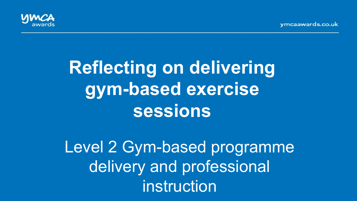vmcaawards.co.uk



# **Reflecting on delivering gym-based exercise sessions**

Level 2 Gym-based programme delivery and professional instruction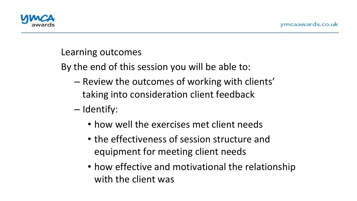

#### Learning outcomes

By the end of this session you will be able to:

- Review the outcomes of working with clients' taking into consideration client feedback
- Identify:
	- how well the exercises met client needs
	- the effectiveness of session structure and equipment for meeting client needs
	- how effective and motivational the relationship with the client was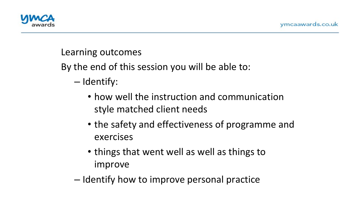

## Learning outcomes

By the end of this session you will be able to:

- Identify:
	- how well the instruction and communication style matched client needs
	- the safety and effectiveness of programme and exercises
	- things that went well as well as things to improve
- Identify how to improve personal practice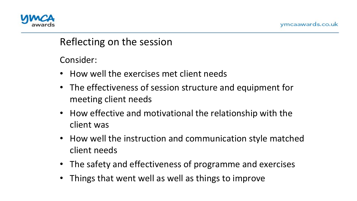

## Reflecting on the session

Consider: 

- How well the exercises met client needs
- The effectiveness of session structure and equipment for meeting client needs
- How effective and motivational the relationship with the client was
- How well the instruction and communication style matched client needs
- The safety and effectiveness of programme and exercises
- Things that went well as well as things to improve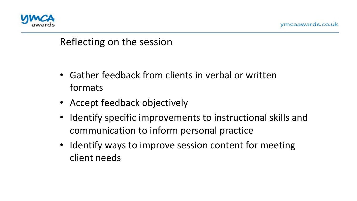

## Reflecting on the session

- Gather feedback from clients in verbal or written formats
- Accept feedback objectively
- Identify specific improvements to instructional skills and communication to inform personal practice
- Identify ways to improve session content for meeting client needs